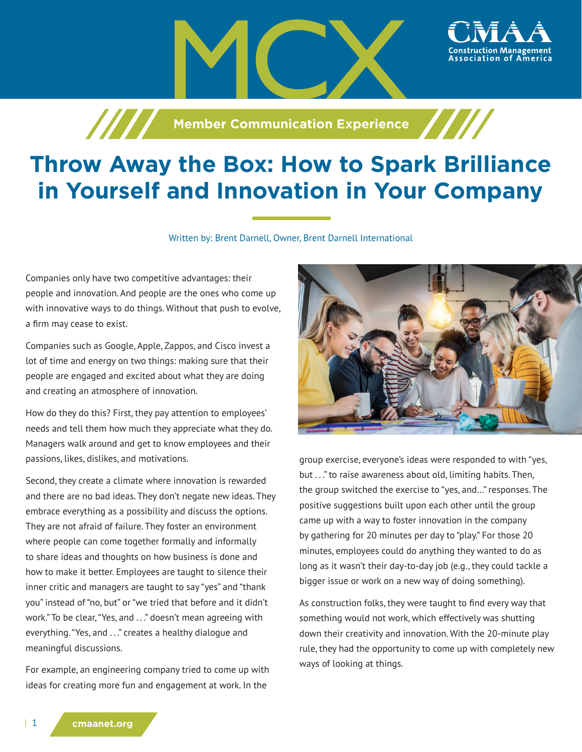

**Member Communication Experience** 

# **Throw Away the Box: How to Spark Brilliance in Yourself and Innovation in Your Company**

Written by: Brent Darnell, Owner, Brent Darnell International

Companies only have two competitive advantages: their people and innovation. And people are the ones who come up with innovative ways to do things. Without that push to evolve, a firm may cease to exist.

Companies such as Google, Apple, Zappos, and Cisco invest a lot of time and energy on two things: making sure that their people are engaged and excited about what they are doing and creating an atmosphere of innovation.

How do they do this? First, they pay attention to employees' needs and tell them how much they appreciate what they do. Managers walk around and get to know employees and their passions, likes, dislikes, and motivations.

Second, they create a climate where innovation is rewarded and there are no bad ideas. They don't negate new ideas. They embrace everything as a possibility and discuss the options. They are not afraid of failure. They foster an environment where people can come together formally and informally to share ideas and thoughts on how business is done and how to make it better. Employees are taught to silence their inner critic and managers are taught to say "yes" and "thank you" instead of "no, but" or "we tried that before and it didn't work." To be clear, "Yes, and . . ." doesn't mean agreeing with everything. "Yes, and . . ." creates a healthy dialogue and meaningful discussions.

For example, an engineering company tried to come up with ideas for creating more fun and engagement at work. In the



group exercise, everyone's ideas were responded to with "yes, but ..." to raise awareness about old, limiting habits. Then, the group switched the exercise to "yes, and…" responses. The positive suggestions built upon each other until the group came up with a way to foster innovation in the company by gathering for 20 minutes per day to "play." For those 20 minutes, employees could do anything they wanted to do as long as it wasn't their day-to-day job (e.g., they could tackle a bigger issue or work on a new way of doing something).

As construction folks, they were taught to find every way that something would not work, which effectively was shutting down their creativity and innovation. With the 20-minute play rule, they had the opportunity to come up with completely new ways of looking at things.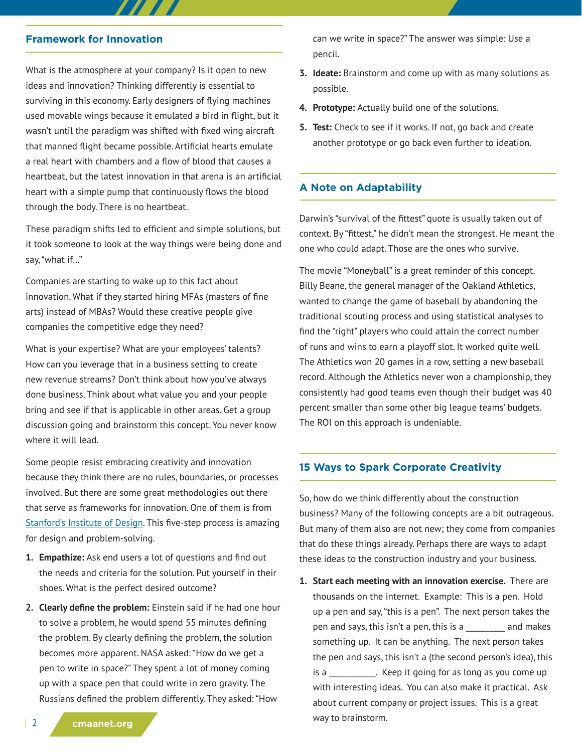#### **Framework for Innovation**

What is the atmosphere at your company? Is it open to new ideas and innovation? Thinking differently is essential to surviving in this economy. Early designers of flying machines used movable wings because it emulated a bird in flight, but it wasn't until the paradigm was shifted with fixed wing aircraft that manned flight became possible. Artificial hearts emulate a real heart with chambers and a flow of blood that causes a heartbeat, but the latest innovation in that arena is an artificial heart with a simple pump that continuously flows the blood through the body. There is no heartbeat.

77

These paradigm shifts led to efficient and simple solutions, but it took someone to look at the way things were being done and say, "what if…"

Companies are starting to wake up to this fact about innovation. What if they started hiring MFAs (masters of fine arts) instead of MBAs? Would these creative people give companies the competitive edge they need?

What is your expertise? What are your employees' talents? How can you leverage that in a business setting to create new revenue streams? Don't think about how you've always done business. Think about what value you and your people bring and see if that is applicable in other areas. Get a group discussion going and brainstorm this concept. You never know where it will lead.

Some people resist embracing creativity and innovation because they think there are no rules, boundaries, or processes involved. But there are some great methodologies out there that serve as frameworks for innovation. One of them is from [Stanford's Institute of Design](http://dschool.stanford.edu/). This five-step process is amazing for design and problem-solving.

- **1. Empathize:** Ask end users a lot of questions and find out the needs and criteria for the solution. Put yourself in their shoes. What is the perfect desired outcome?
- **2. Clearly define the problem:** Einstein said if he had one hour to solve a problem, he would spend 55 minutes defining the problem. By clearly defining the problem, the solution becomes more apparent. NASA asked: "How do we get a pen to write in space?" They spent a lot of money coming up with a space pen that could write in zero gravity. The Russians defined the problem differently. They asked: "How

can we write in space?" The answer was simple: Use a pencil.

- **3. Ideate:** Brainstorm and come up with as many solutions as possible.
- **4. Prototype:** Actually build one of the solutions.
- **5. Test:** Check to see if it works. If not, go back and create another prototype or go back even further to ideation.

### **A Note on Adaptability**

Darwin's "survival of the fittest" quote is usually taken out of context. By "fittest," he didn't mean the strongest. He meant the one who could adapt. Those are the ones who survive.

The movie "Moneyball" is a great reminder of this concept. Billy Beane, the general manager of the Oakland Athletics, wanted to change the game of baseball by abandoning the traditional scouting process and using statistical analyses to find the "right" players who could attain the correct number of runs and wins to earn a playoff slot. It worked quite well. The Athletics won 20 games in a row, setting a new baseball record. Although the Athletics never won a championship, they consistently had good teams even though their budget was 40 percent smaller than some other big league teams' budgets. The ROI on this approach is undeniable.

### **15 Ways to Spark Corporate Creativity**

So, how do we think differently about the construction business? Many of the following concepts are a bit outrageous. But many of them also are not new; they come from companies that do these things already. Perhaps there are ways to adapt these ideas to the construction industry and your business.

**1. Start each meeting with an innovation exercise.** There are thousands on the internet. Example: This is a pen. Hold up a pen and say, "this is a pen". The next person takes the pen and says, this isn't a pen, this is a \_\_\_\_\_\_\_\_\_\_ and makes something up. It can be anything. The next person takes the pen and says, this isn't a (the second person's idea), this is a \_\_\_\_\_\_\_\_\_\_\_\_. Keep it going for as long as you come up with interesting ideas. You can also make it practical. Ask about current company or project issues. This is a great way to brainstorm.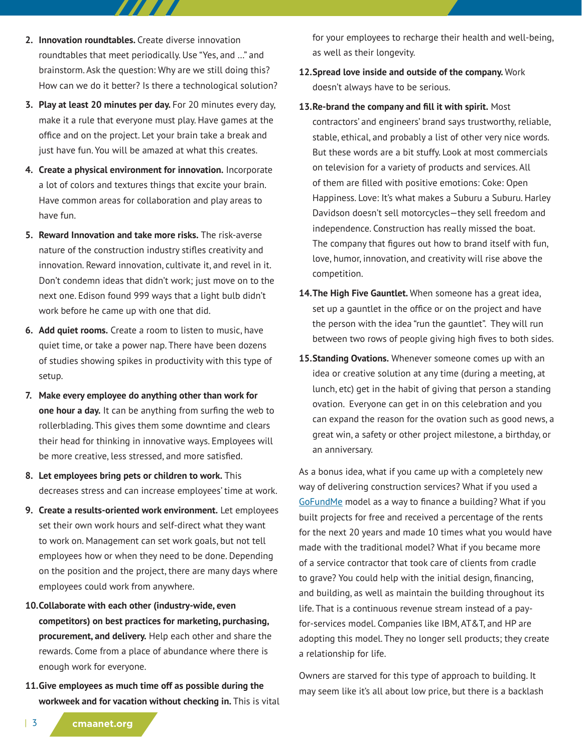- **2. Innovation roundtables.** Create diverse innovation roundtables that meet periodically. Use "Yes, and …" and brainstorm. Ask the question: Why are we still doing this? How can we do it better? Is there a technological solution?
- **3. Play at least 20 minutes per day.** For 20 minutes every day, make it a rule that everyone must play. Have games at the office and on the project. Let your brain take a break and just have fun. You will be amazed at what this creates.
- **4. Create a physical environment for innovation.** Incorporate a lot of colors and textures things that excite your brain. Have common areas for collaboration and play areas to have fun.
- **5. Reward Innovation and take more risks.** The risk-averse nature of the construction industry stifles creativity and innovation. Reward innovation, cultivate it, and revel in it. Don't condemn ideas that didn't work; just move on to the next one. Edison found 999 ways that a light bulb didn't work before he came up with one that did.
- **6. Add quiet rooms.** Create a room to listen to music, have quiet time, or take a power nap. There have been dozens of studies showing spikes in productivity with this type of setup.
- **7. Make every employee do anything other than work for one hour a day.** It can be anything from surfing the web to rollerblading. This gives them some downtime and clears their head for thinking in innovative ways. Employees will be more creative, less stressed, and more satisfied.
- **8. Let employees bring pets or children to work.** This decreases stress and can increase employees' time at work.
- **9. Create a results-oriented work environment.** Let employees set their own work hours and self-direct what they want to work on. Management can set work goals, but not tell employees how or when they need to be done. Depending on the position and the project, there are many days where employees could work from anywhere.
- **10.Collaborate with each other (industry-wide, even competitors) on best practices for marketing, purchasing, procurement, and delivery.** Help each other and share the rewards. Come from a place of abundance where there is enough work for everyone.
- **11.Give employees as much time off as possible during the workweek and for vacation without checking in.** This is vital

for your employees to recharge their health and well-being, as well as their longevity.

- **12.Spread love inside and outside of the company.** Work doesn't always have to be serious.
- **13.Re-brand the company and fill it with spirit.** Most contractors' and engineers' brand says trustworthy, reliable, stable, ethical, and probably a list of other very nice words. But these words are a bit stuffy. Look at most commercials on television for a variety of products and services. All of them are filled with positive emotions: Coke: Open Happiness. Love: It's what makes a Suburu a Suburu. Harley Davidson doesn't sell motorcycles—they sell freedom and independence. Construction has really missed the boat. The company that figures out how to brand itself with fun, love, humor, innovation, and creativity will rise above the competition.
- **14.The High Five Gauntlet.** When someone has a great idea, set up a gauntlet in the office or on the project and have the person with the idea "run the gauntlet". They will run between two rows of people giving high fives to both sides.
- **15.Standing Ovations.** Whenever someone comes up with an idea or creative solution at any time (during a meeting, at lunch, etc) get in the habit of giving that person a standing ovation. Everyone can get in on this celebration and you can expand the reason for the ovation such as good news, a great win, a safety or other project milestone, a birthday, or an anniversary.

As a bonus idea, what if you came up with a completely new way of delivering construction services? What if you used a [GoFundMe](https://www.gofundme.com/) model as a way to finance a building? What if you built projects for free and received a percentage of the rents for the next 20 years and made 10 times what you would have made with the traditional model? What if you became more of a service contractor that took care of clients from cradle to grave? You could help with the initial design, financing, and building, as well as maintain the building throughout its life. That is a continuous revenue stream instead of a payfor-services model. Companies like IBM, AT&T, and HP are adopting this model. They no longer sell products; they create a relationship for life.

Owners are starved for this type of approach to building. It may seem like it's all about low price, but there is a backlash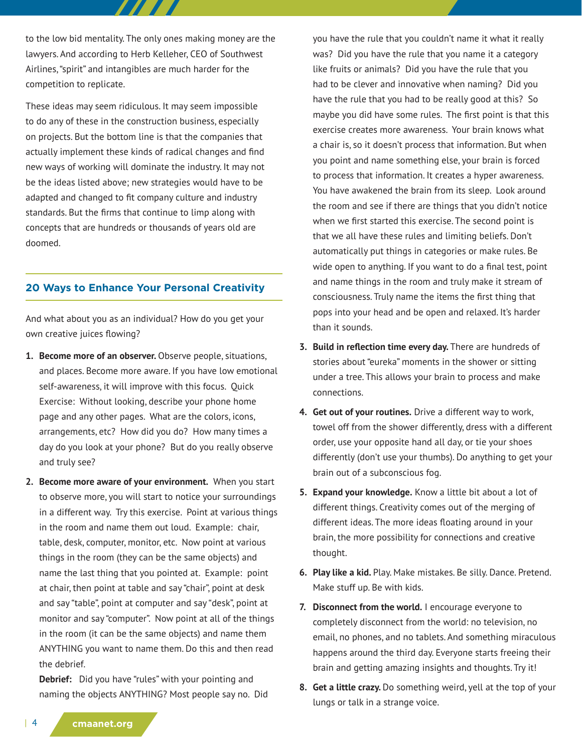to the low bid mentality. The only ones making money are the lawyers. And according to Herb Kelleher, CEO of Southwest Airlines, "spirit" and intangibles are much harder for the competition to replicate.

These ideas may seem ridiculous. It may seem impossible to do any of these in the construction business, especially on projects. But the bottom line is that the companies that actually implement these kinds of radical changes and find new ways of working will dominate the industry. It may not be the ideas listed above; new strategies would have to be adapted and changed to fit company culture and industry standards. But the firms that continue to limp along with concepts that are hundreds or thousands of years old are doomed.

## **20 Ways to Enhance Your Personal Creativity**

And what about you as an individual? How do you get your own creative juices flowing?

- **1. Become more of an observer.** Observe people, situations, and places. Become more aware. If you have low emotional self-awareness, it will improve with this focus. Quick Exercise: Without looking, describe your phone home page and any other pages. What are the colors, icons, arrangements, etc? How did you do? How many times a day do you look at your phone? But do you really observe and truly see?
- **2. Become more aware of your environment.** When you start to observe more, you will start to notice your surroundings in a different way. Try this exercise. Point at various things in the room and name them out loud. Example: chair, table, desk, computer, monitor, etc. Now point at various things in the room (they can be the same objects) and name the last thing that you pointed at. Example: point at chair, then point at table and say "chair", point at desk and say "table", point at computer and say "desk", point at monitor and say "computer". Now point at all of the things in the room (it can be the same objects) and name them ANYTHING you want to name them. Do this and then read the debrief.

**Debrief:** Did you have "rules" with your pointing and naming the objects ANYTHING? Most people say no. Did you have the rule that you couldn't name it what it really was? Did you have the rule that you name it a category like fruits or animals? Did you have the rule that you had to be clever and innovative when naming? Did you have the rule that you had to be really good at this? So maybe you did have some rules. The first point is that this exercise creates more awareness. Your brain knows what a chair is, so it doesn't process that information. But when you point and name something else, your brain is forced to process that information. It creates a hyper awareness. You have awakened the brain from its sleep. Look around the room and see if there are things that you didn't notice when we first started this exercise. The second point is that we all have these rules and limiting beliefs. Don't automatically put things in categories or make rules. Be wide open to anything. If you want to do a final test, point and name things in the room and truly make it stream of consciousness. Truly name the items the first thing that pops into your head and be open and relaxed. It's harder than it sounds.

- **3. Build in reflection time every day.** There are hundreds of stories about "eureka" moments in the shower or sitting under a tree. This allows your brain to process and make connections.
- **4. Get out of your routines.** Drive a different way to work, towel off from the shower differently, dress with a different order, use your opposite hand all day, or tie your shoes differently (don't use your thumbs). Do anything to get your brain out of a subconscious fog.
- **5. Expand your knowledge.** Know a little bit about a lot of different things. Creativity comes out of the merging of different ideas. The more ideas floating around in your brain, the more possibility for connections and creative thought.
- **6. Play like a kid.** Play. Make mistakes. Be silly. Dance. Pretend. Make stuff up. Be with kids.
- **7. Disconnect from the world.** I encourage everyone to completely disconnect from the world: no television, no email, no phones, and no tablets. And something miraculous happens around the third day. Everyone starts freeing their brain and getting amazing insights and thoughts. Try it!
- **8. Get a little crazy.** Do something weird, yell at the top of your lungs or talk in a strange voice.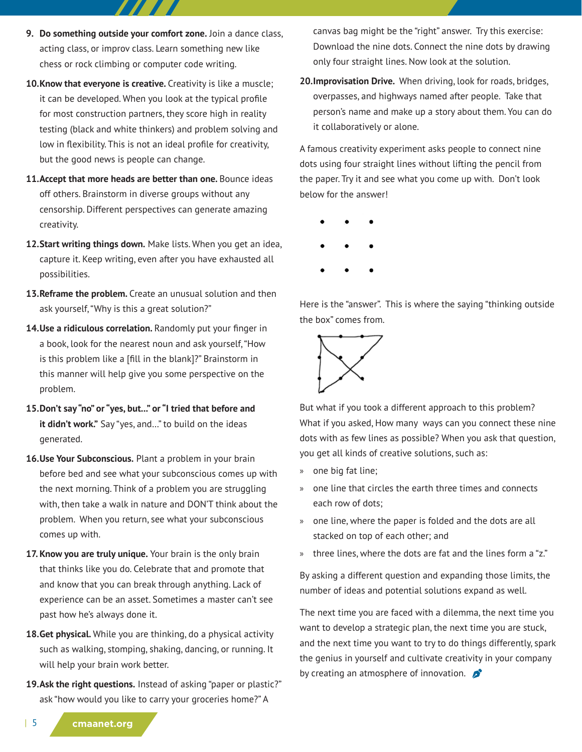- **9. Do something outside your comfort zone.** Join a dance class, acting class, or improv class. Learn something new like chess or rock climbing or computer code writing.
- 10. Know that everyone is creative. Creativity is like a muscle; it can be developed. When you look at the typical profile for most construction partners, they score high in reality testing (black and white thinkers) and problem solving and low in flexibility. This is not an ideal profile for creativity, but the good news is people can change.
- **11.Accept that more heads are better than one.** Bounce ideas off others. Brainstorm in diverse groups without any censorship. Different perspectives can generate amazing creativity.
- **12.Start writing things down.** Make lists. When you get an idea, capture it. Keep writing, even after you have exhausted all possibilities.
- **13.Reframe the problem.** Create an unusual solution and then ask yourself, "Why is this a great solution?"
- **14.Use a ridiculous correlation.** Randomly put your finger in a book, look for the nearest noun and ask yourself, "How is this problem like a [fill in the blank]?" Brainstorm in this manner will help give you some perspective on the problem.
- **15.Don't say "no" or "yes, but..." or "I tried that before and it didn't work."** Say "yes, and…" to build on the ideas generated.
- **16.Use Your Subconscious.** Plant a problem in your brain before bed and see what your subconscious comes up with the next morning. Think of a problem you are struggling with, then take a walk in nature and DON'T think about the problem. When you return, see what your subconscious comes up with.
- **17. Know you are truly unique.** Your brain is the only brain that thinks like you do. Celebrate that and promote that and know that you can break through anything. Lack of experience can be an asset. Sometimes a master can't see past how he's always done it.
- **18.Get physical.** While you are thinking, do a physical activity such as walking, stomping, shaking, dancing, or running. It will help your brain work better.
- **19.Ask the right questions.** Instead of asking "paper or plastic?" ask "how would you like to carry your groceries home?" A

canvas bag might be the "right" answer. Try this exercise: Download the nine dots. Connect the nine dots by drawing only four straight lines. Now look at the solution.

**20.Improvisation Drive.** When driving, look for roads, bridges, overpasses, and highways named after people. Take that person's name and make up a story about them. You can do it collaboratively or alone.

A famous creativity experiment asks people to connect nine dots using four straight lines without lifting the pencil from the paper. Try it and see what you come up with. Don't look below for the answer!

Here is the "answer". This is where the saying "thinking outside the box" comes from.



But what if you took a different approach to this problem? What if you asked, How many ways can you connect these nine dots with as few lines as possible? When you ask that question, you get all kinds of creative solutions, such as:

- » one big fat line;
- » one line that circles the earth three times and connects each row of dots;
- » one line, where the paper is folded and the dots are all stacked on top of each other; and
- » three lines, where the dots are fat and the lines form a "z."

By asking a different question and expanding those limits, the number of ideas and potential solutions expand as well.

The next time you are faced with a dilemma, the next time you want to develop a strategic plan, the next time you are stuck, and the next time you want to try to do things differently, spark the genius in yourself and cultivate creativity in your company by creating an atmosphere of innovation.  $\mathcal{L}$ 

| 5 **cmaanet.org**